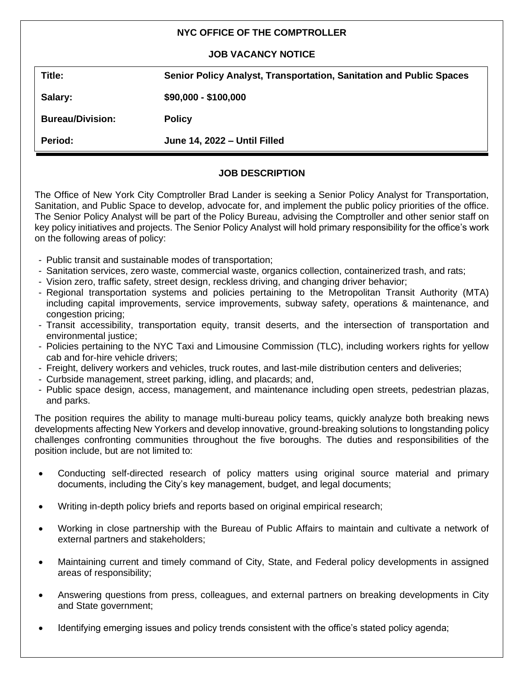## **NYC OFFICE OF THE COMPTROLLER**

#### **JOB VACANCY NOTICE**

| Title:                  | Senior Policy Analyst, Transportation, Sanitation and Public Spaces |  |
|-------------------------|---------------------------------------------------------------------|--|
| Salary:                 | $$90,000 - $100,000$                                                |  |
| <b>Bureau/Division:</b> | <b>Policy</b>                                                       |  |
| Period:                 | June 14, 2022 - Until Filled                                        |  |

### **JOB DESCRIPTION**

The Office of New York City Comptroller Brad Lander is seeking a Senior Policy Analyst for Transportation, Sanitation, and Public Space to develop, advocate for, and implement the public policy priorities of the office. The Senior Policy Analyst will be part of the Policy Bureau, advising the Comptroller and other senior staff on key policy initiatives and projects. The Senior Policy Analyst will hold primary responsibility for the office's work on the following areas of policy:

- Public transit and sustainable modes of transportation;
- Sanitation services, zero waste, commercial waste, organics collection, containerized trash, and rats;
- Vision zero, traffic safety, street design, reckless driving, and changing driver behavior;
- Regional transportation systems and policies pertaining to the Metropolitan Transit Authority (MTA) including capital improvements, service improvements, subway safety, operations & maintenance, and congestion pricing;
- Transit accessibility, transportation equity, transit deserts, and the intersection of transportation and environmental justice:
- Policies pertaining to the NYC Taxi and Limousine Commission (TLC), including workers rights for yellow cab and for-hire vehicle drivers;
- Freight, delivery workers and vehicles, truck routes, and last-mile distribution centers and deliveries;
- Curbside management, street parking, idling, and placards; and,
- Public space design, access, management, and maintenance including open streets, pedestrian plazas, and parks.

The position requires the ability to manage multi-bureau policy teams, quickly analyze both breaking news developments affecting New Yorkers and develop innovative, ground-breaking solutions to longstanding policy challenges confronting communities throughout the five boroughs. The duties and responsibilities of the position include, but are not limited to:

- Conducting self-directed research of policy matters using original source material and primary documents, including the City's key management, budget, and legal documents;
- Writing in-depth policy briefs and reports based on original empirical research;
- Working in close partnership with the Bureau of Public Affairs to maintain and cultivate a network of external partners and stakeholders;
- Maintaining current and timely command of City, State, and Federal policy developments in assigned areas of responsibility;
- Answering questions from press, colleagues, and external partners on breaking developments in City and State government;
- Identifying emerging issues and policy trends consistent with the office's stated policy agenda;